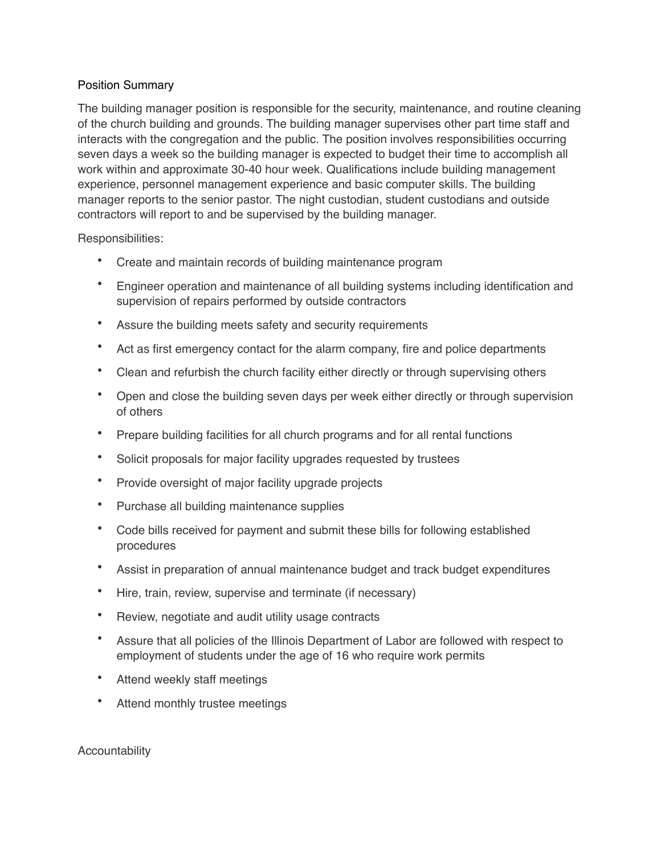## Position Summary

The building manager position is responsible for the security, maintenance, and routine cleaning of the church building and grounds. The building manager supervises other part time staff and interacts with the congregation and the public. The position involves responsibilities occurring seven days a week so the building manager is expected to budget their time to accomplish all work within and approximate 30-40 hour week. Qualifications include building management experience, personnel management experience and basic computer skills. The building manager reports to the senior pastor. The night custodian, student custodians and outside contractors will report to and be supervised by the building manager.

Responsibilities:

- Create and maintain records of building maintenance program
- Engineer operation and maintenance of all building systems including identification and supervision of repairs performed by outside contractors
- Assure the building meets safety and security requirements
- Act as first emergency contact for the alarm company, fire and police departments
- Clean and refurbish the church facility either directly or through supervising others
- Open and close the building seven days per week either directly or through supervision of others
- Prepare building facilities for all church programs and for all rental functions
- Solicit proposals for major facility upgrades requested by trustees
- Provide oversight of major facility upgrade projects
- Purchase all building maintenance supplies
- Code bills received for payment and submit these bills for following established procedures
- Assist in preparation of annual maintenance budget and track budget expenditures
- Hire, train, review, supervise and terminate (if necessary)
- Review, negotiate and audit utility usage contracts
- Assure that all policies of the Illinois Department of Labor are followed with respect to employment of students under the age of 16 who require work permits
- Attend weekly staff meetings
- Attend monthly trustee meetings

Accountability